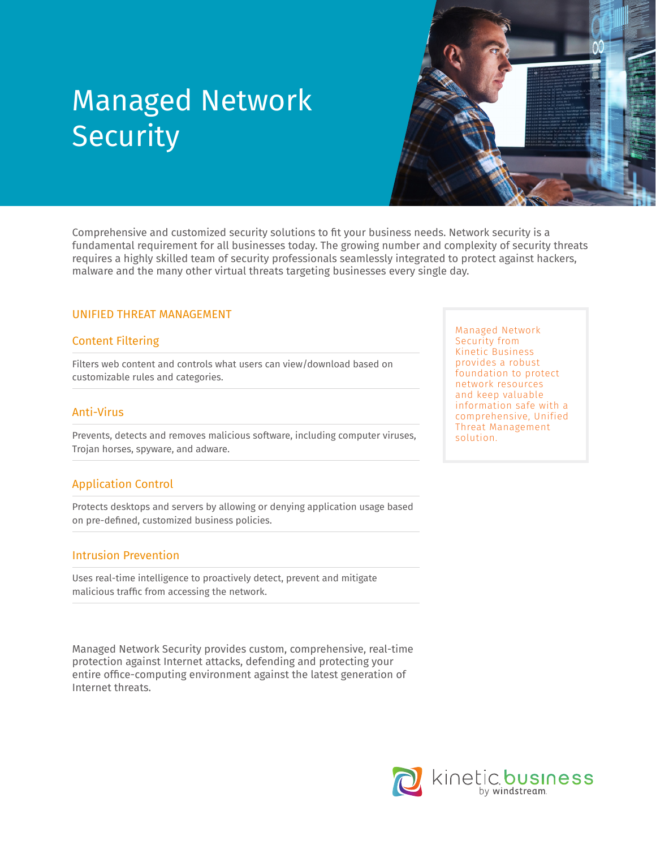

Comprehensive and customized security solutions to fit your business needs. Network security is a fundamental requirement for all businesses today. The growing number and complexity of security threats requires a highly skilled team of security professionals seamlessly integrated to protect against hackers, malware and the many other virtual threats targeting businesses every single day.

#### UNIFIED THREAT MANAGEMENT

#### Content Filtering

Filters web content and controls what users can view/download based on customizable rules and categories.

#### Anti-Virus

Prevents, detects and removes malicious software, including computer viruses, Trojan horses, spyware, and adware.

#### Application Control

Protects desktops and servers by allowing or denying application usage based on pre-defined, customized business policies.

#### Intrusion Prevention

Uses real-time intelligence to proactively detect, prevent and mitigate malicious traffic from accessing the network.

Managed Network Security provides custom, comprehensive, real-time protection against Internet attacks, defending and protecting your entire office-computing environment against the latest generation of Internet threats.

Managed Network Security from Kinetic Business provides a robust foundation to protect network resources and keep valuable information safe with a comprehensive, Unified Threat Management solution.

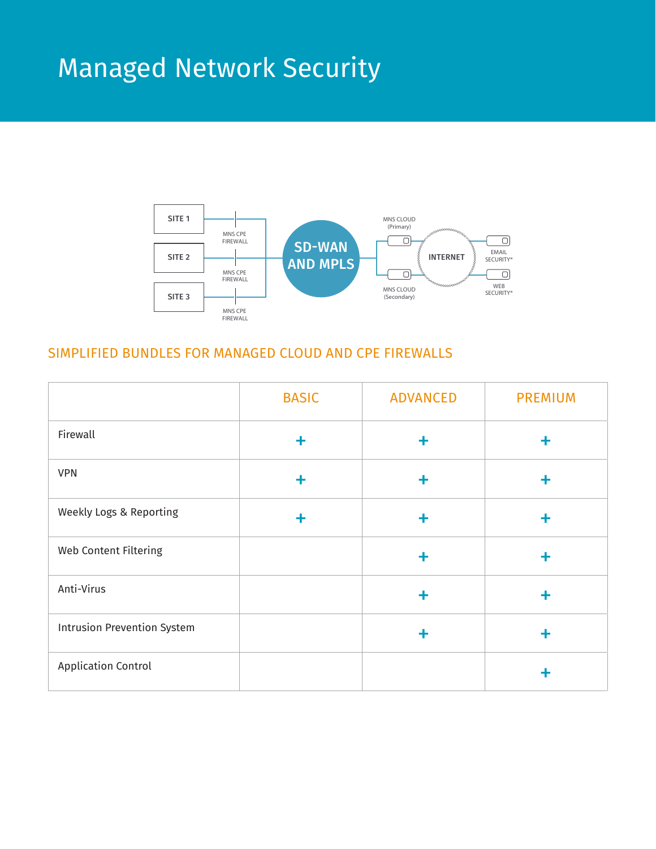

### SIMPLIFIED BUNDLES FOR MANAGED CLOUD AND CPE FIREWALLS

|                                    | <b>BASIC</b> | <b>ADVANCED</b> | <b>PREMIUM</b> |
|------------------------------------|--------------|-----------------|----------------|
| Firewall                           |              |                 | ╋              |
| <b>VPN</b>                         |              |                 | ╋              |
| Weekly Logs & Reporting            |              |                 | ٠              |
| Web Content Filtering              |              | ÷               | ٠              |
| Anti-Virus                         |              |                 | ۰              |
| <b>Intrusion Prevention System</b> |              |                 | ÷              |
| <b>Application Control</b>         |              |                 | ╋              |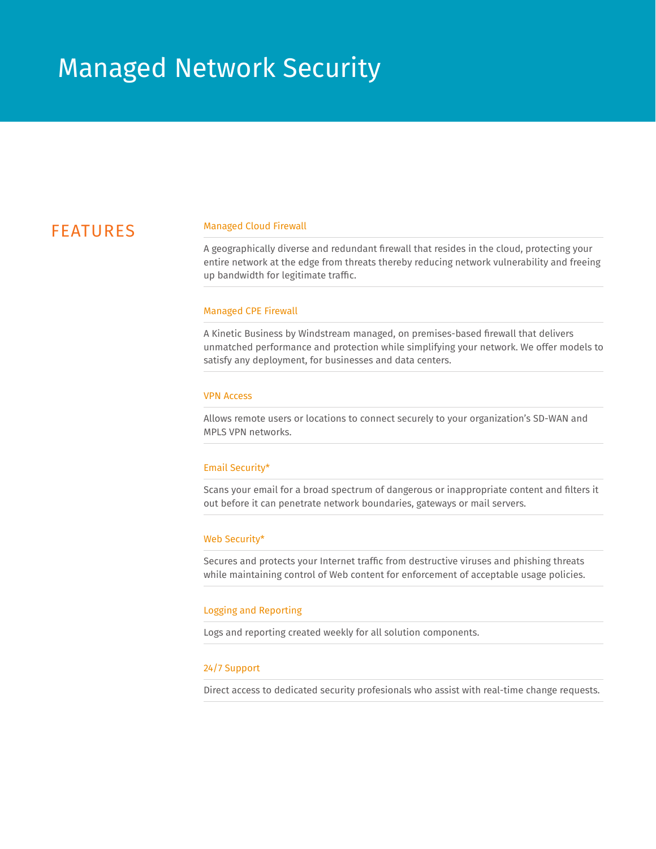## FEATURES

#### Managed Cloud Firewall

A geographically diverse and redundant firewall that resides in the cloud, protecting your entire network at the edge from threats thereby reducing network vulnerability and freeing up bandwidth for legitimate traffic.

#### Managed CPE Firewall

A Kinetic Business by Windstream managed, on premises-based firewall that delivers unmatched performance and protection while simplifying your network. We offer models to satisfy any deployment, for businesses and data centers.

#### VPN Access

Allows remote users or locations to connect securely to your organization's SD-WAN and MPLS VPN networks.

#### Email Security\*

Scans your email for a broad spectrum of dangerous or inappropriate content and filters it out before it can penetrate network boundaries, gateways or mail servers.

#### Web Security\*

Secures and protects your Internet traffic from destructive viruses and phishing threats while maintaining control of Web content for enforcement of acceptable usage policies.

#### Logging and Reporting

Logs and reporting created weekly for all solution components.

#### 24/7 Support

Direct access to dedicated security profesionals who assist with real-time change requests.